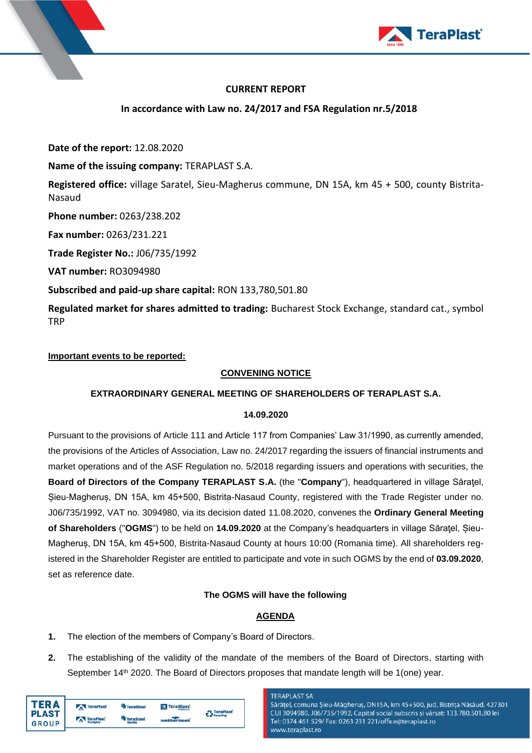

# **CURRENT REPORT**

**In accordance with Law no. 24/2017 and FSA Regulation nr.5/2018**

**Date of the report:** 12.08.2020

**Name of the issuing company:** TERAPLAST S.A.

**Registered office:** village Saratel, Sieu-Magherus commune, DN 15A, km 45 + 500, county Bistrita-Nasaud

**Phone number:** 0263/238.202

**Fax number:** 0263/231.221

**Trade Register No.:** J06/735/1992

**VAT number:** RO3094980

**Subscribed and paid-up share capital:** RON 133,780,501.80

**Regulated market for shares admitted to trading:** Bucharest Stock Exchange, standard cat., symbol **TRP** 

## **Important events to be reported:**

# **CONVENING NOTICE**

## **EXTRAORDINARY GENERAL MEETING OF SHAREHOLDERS OF TERAPLAST S.A.**

### **14.09.2020**

Pursuant to the provisions of Article 111 and Article 117 from Companies' Law 31/1990, as currently amended, the provisions of the Articles of Association, Law no. 24/2017 regarding the issuers of financial instruments and market operations and of the ASF Regulation no. 5/2018 regarding issuers and operations with securities, the **Board of Directors of the Company TERAPLAST S.A.** (the "**Company**"), headquartered in village Săraţel, Șieu-Magheruș, DN 15A, km 45+500, Bistrita-Nasaud County, registered with the Trade Register under no. J06/735/1992, VAT no. 3094980, via its decision dated 11.08.2020, convenes the **Ordinary General Meeting of Shareholders** ("**OGMS**") to be held on **14.09.2020** at the Company's headquarters in village Săraţel, Șieu-Magheruș, DN 15A, km 45+500, Bistrita-Nasaud County at hours 10:00 (Romania time). All shareholders registered in the Shareholder Register are entitled to participate and vote in such OGMS by the end of **03.09.2020**, set as reference date.

## **The OGMS will have the following**

# **AGENDA**

- **1.** The election of the members of Company's Board of Directors.
- **2.** The establishing of the validity of the mandate of the members of the Board of Directors, starting with September 14<sup>th</sup> 2020. The Board of Directors proposes that mandate length will be 1(one) year.

| TFR A                        | <b>X</b> TeraPlast          | <sup>u</sup> ll TeraSteel  | TeraGlass         | <b>O</b> TeraPlast |
|------------------------------|-----------------------------|----------------------------|-------------------|--------------------|
| <b>PLAST</b><br><b>GROUP</b> | TeraPlast<br><b>Hungary</b> | <b>TeraSteel</b><br>Serbia | <b>watterbast</b> | Recycling          |

### **TERAPI AST SA**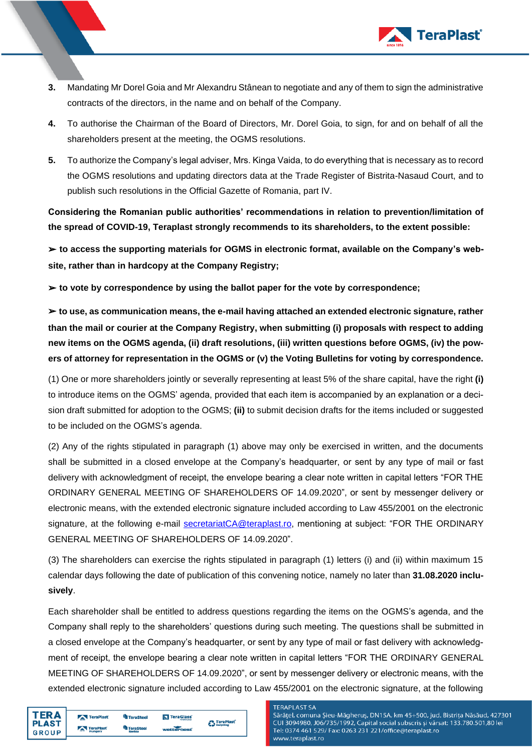

- **3.** Mandating Mr Dorel Goia and Mr Alexandru Stânean to negotiate and any of them to sign the administrative contracts of the directors, in the name and on behalf of the Company.
- **4.** To authorise the Chairman of the Board of Directors, Mr. Dorel Goia, to sign, for and on behalf of all the shareholders present at the meeting, the OGMS resolutions.
- **5.** To authorize the Company's legal adviser, Mrs. Kinga Vaida, to do everything that is necessary as to record the OGMS resolutions and updating directors data at the Trade Register of Bistrita-Nasaud Court, and to publish such resolutions in the Official Gazette of Romania, part IV.

**Considering the Romanian public authorities' recommendations in relation to prevention/limitation of the spread of COVID-19, Teraplast strongly recommends to its shareholders, to the extent possible:** 

➢ **to access the supporting materials for OGMS in electronic format, available on the Company's website, rather than in hardcopy at the Company Registry;** 

➢ **to vote by correspondence by using the ballot paper for the vote by correspondence;** 

➢ **to use, as communication means, the e-mail having attached an extended electronic signature, rather than the mail or courier at the Company Registry, when submitting (i) proposals with respect to adding new items on the OGMS agenda, (ii) draft resolutions, (iii) written questions before OGMS, (iv) the powers of attorney for representation in the OGMS or (v) the Voting Bulletins for voting by correspondence.**

(1) One or more shareholders jointly or severally representing at least 5% of the share capital, have the right **(i)** to introduce items on the OGMS' agenda, provided that each item is accompanied by an explanation or a decision draft submitted for adoption to the OGMS; **(ii)** to submit decision drafts for the items included or suggested to be included on the OGMS's agenda.

(2) Any of the rights stipulated in paragraph (1) above may only be exercised in written, and the documents shall be submitted in a closed envelope at the Company's headquarter, or sent by any type of mail or fast delivery with acknowledgment of receipt, the envelope bearing a clear note written in capital letters "FOR THE ORDINARY GENERAL MEETING OF SHAREHOLDERS OF 14.09.2020", or sent by messenger delivery or electronic means, with the extended electronic signature included according to Law 455/2001 on the electronic signature, at the following e-mail [secretariatCA@teraplast.ro,](mailto:secretariatCA@teraplast.ro) mentioning at subject: "FOR THE ORDINARY GENERAL MEETING OF SHAREHOLDERS OF 14.09.2020".

(3) The shareholders can exercise the rights stipulated in paragraph (1) letters (i) and (ii) within maximum 15 calendar days following the date of publication of this convening notice, namely no later than **31.08.2020 inclusively**.

Each shareholder shall be entitled to address questions regarding the items on the OGMS's agenda, and the Company shall reply to the shareholders' questions during such meeting. The questions shall be submitted in a closed envelope at the Company's headquarter, or sent by any type of mail or fast delivery with acknowledgment of receipt, the envelope bearing a clear note written in capital letters "FOR THE ORDINARY GENERAL MEETING OF SHAREHOLDERS OF 14.09.2020", or sent by messenger delivery or electronic means, with the extended electronic signature included according to Law 455/2001 on the electronic signature, at the following

| TFR A<br><b>PLAST</b> | TeraPlast            | <sup>4</sup> TeraSteel     | <b>N</b> TeraClass | <b>C</b> TeraPlast   |
|-----------------------|----------------------|----------------------------|--------------------|----------------------|
| <b>GROUP</b>          | TeraPlast<br>Hungary | <b>TeraSteel</b><br>Serbia | wetterbeat         | <b>Car Recycling</b> |

#### **TERAPLAST SA**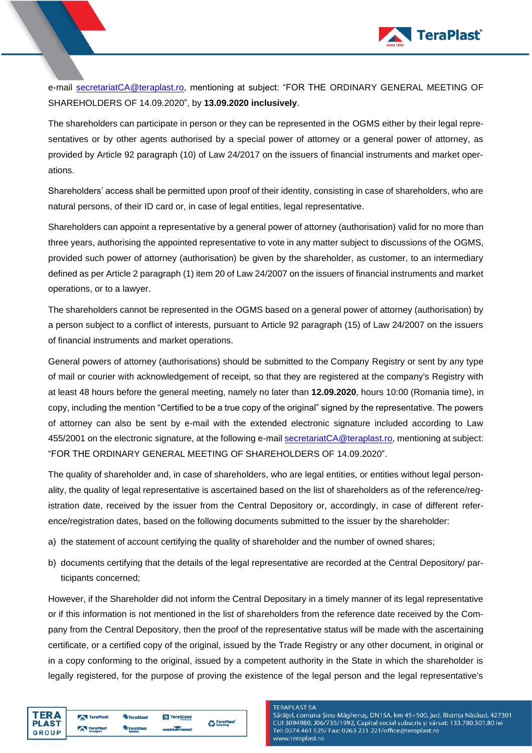

e-mail [secretariatCA@teraplast.ro,](mailto:secretariatCA@teraplast.ro) mentioning at subject: "FOR THE ORDINARY GENERAL MEETING OF SHAREHOLDERS OF 14.09.2020", by **13.09.2020 inclusively**.

The shareholders can participate in person or they can be represented in the OGMS either by their legal representatives or by other agents authorised by a special power of attorney or a general power of attorney, as provided by Article 92 paragraph (10) of Law 24/2017 on the issuers of financial instruments and market operations.

Shareholders' access shall be permitted upon proof of their identity, consisting in case of shareholders, who are natural persons, of their ID card or, in case of legal entities, legal representative.

Shareholders can appoint a representative by a general power of attorney (authorisation) valid for no more than three years, authorising the appointed representative to vote in any matter subject to discussions of the OGMS, provided such power of attorney (authorisation) be given by the shareholder, as customer, to an intermediary defined as per Article 2 paragraph (1) item 20 of Law 24/2007 on the issuers of financial instruments and market operations, or to a lawyer.

The shareholders cannot be represented in the OGMS based on a general power of attorney (authorisation) by a person subject to a conflict of interests, pursuant to Article 92 paragraph (15) of Law 24/2007 on the issuers of financial instruments and market operations.

General powers of attorney (authorisations) should be submitted to the Company Registry or sent by any type of mail or courier with acknowledgement of receipt, so that they are registered at the company's Registry with at least 48 hours before the general meeting, namely no later than **12.09.2020**, hours 10:00 (Romania time), in copy, including the mention "Certified to be a true copy of the original" signed by the representative. The powers of attorney can also be sent by e-mail with the extended electronic signature included according to Law 455/2001 on the electronic signature, at the following e-mai[l secretariatCA@teraplast.ro,](mailto:secretariatCA@teraplast.ro) mentioning at subject: "FOR THE ORDINARY GENERAL MEETING OF SHAREHOLDERS OF 14.09.2020".

The quality of shareholder and, in case of shareholders, who are legal entities, or entities without legal personality, the quality of legal representative is ascertained based on the list of shareholders as of the reference/registration date, received by the issuer from the Central Depository or, accordingly, in case of different reference/registration dates, based on the following documents submitted to the issuer by the shareholder:

- a) the statement of account certifying the quality of shareholder and the number of owned shares;
- b) documents certifying that the details of the legal representative are recorded at the Central Depository/ participants concerned;

However, if the Shareholder did not inform the Central Depositary in a timely manner of its legal representative or if this information is not mentioned in the list of shareholders from the reference date received by the Company from the Central Depository, then the proof of the representative status will be made with the ascertaining certificate, or a certified copy of the original, issued by the Trade Registry or any other document, in original or in a copy conforming to the original, issued by a competent authority in the State in which the shareholder is legally registered, for the purpose of proving the existence of the legal person and the legal representative's

| ΓFR A                     | TeraPlast                   | <sup>U</sup> ll TeraSteel | TeraClass <sup>®</sup> | <b>O</b> TeraPlast    |
|---------------------------|-----------------------------|---------------------------|------------------------|-----------------------|
| I PLAST<br><b>I</b> GROUP | TeraPlast<br><b>Hungary</b> | TeraSteel<br>Serbia       | watterbeat             | <b>Call Recycling</b> |

#### **TERAPLAST SA**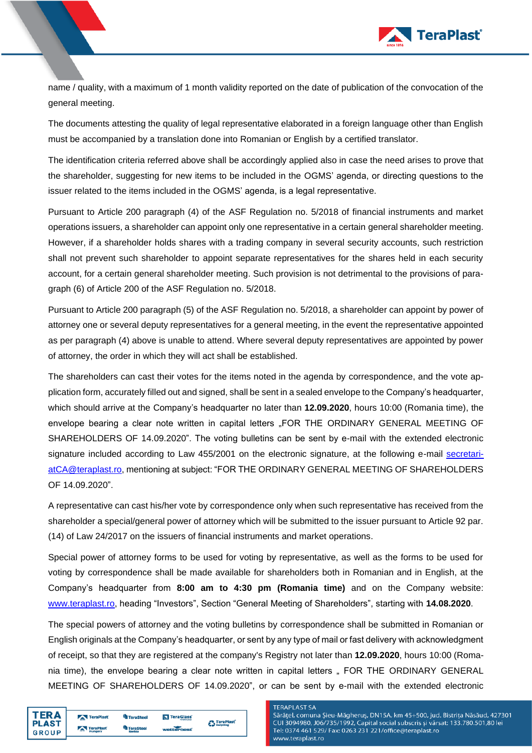

name / quality, with a maximum of 1 month validity reported on the date of publication of the convocation of the general meeting.

The documents attesting the quality of legal representative elaborated in a foreign language other than English must be accompanied by a translation done into Romanian or English by a certified translator.

The identification criteria referred above shall be accordingly applied also in case the need arises to prove that the shareholder, suggesting for new items to be included in the OGMS' agenda, or directing questions to the issuer related to the items included in the OGMS' agenda, is a legal representative.

Pursuant to Article 200 paragraph (4) of the ASF Regulation no. 5/2018 of financial instruments and market operations issuers, a shareholder can appoint only one representative in a certain general shareholder meeting. However, if a shareholder holds shares with a trading company in several security accounts, such restriction shall not prevent such shareholder to appoint separate representatives for the shares held in each security account, for a certain general shareholder meeting. Such provision is not detrimental to the provisions of paragraph (6) of Article 200 of the ASF Regulation no. 5/2018.

Pursuant to Article 200 paragraph (5) of the ASF Regulation no. 5/2018, a shareholder can appoint by power of attorney one or several deputy representatives for a general meeting, in the event the representative appointed as per paragraph (4) above is unable to attend. Where several deputy representatives are appointed by power of attorney, the order in which they will act shall be established.

The shareholders can cast their votes for the items noted in the agenda by correspondence, and the vote application form, accurately filled out and signed, shall be sent in a sealed envelope to the Company's headquarter, which should arrive at the Company's headquarter no later than **12.09.2020**, hours 10:00 (Romania time), the envelope bearing a clear note written in capital letters "FOR THE ORDINARY GENERAL MEETING OF SHAREHOLDERS OF 14.09.2020". The voting bulletins can be sent by e-mail with the extended electronic signature included according to Law 455/2001 on the electronic signature, at the following e-mail [secretari](mailto:secretariatCA@teraplast.ro)[atCA@teraplast.ro,](mailto:secretariatCA@teraplast.ro) mentioning at subject: "FOR THE ORDINARY GENERAL MEETING OF SHAREHOLDERS OF 14.09.2020".

A representative can cast his/her vote by correspondence only when such representative has received from the shareholder a special/general power of attorney which will be submitted to the issuer pursuant to Article 92 par. (14) of Law 24/2017 on the issuers of financial instruments and market operations.

Special power of attorney forms to be used for voting by representative, as well as the forms to be used for voting by correspondence shall be made available for shareholders both in Romanian and in English, at the Company's headquarter from **8:00 am to 4:30 pm (Romania time)** and on the Company website: [www.teraplast.ro,](http://www.teraplast.ro/) heading "Investors", Section "General Meeting of Shareholders", starting with **14.08.2020**.

The special powers of attorney and the voting bulletins by correspondence shall be submitted in Romanian or English originals at the Company's headquarter, or sent by any type of mail or fast delivery with acknowledgment of receipt, so that they are registered at the company's Registry not later than **12.09.2020**, hours 10:00 (Romania time), the envelope bearing a clear note written in capital letters . FOR THE ORDINARY GENERAL MEETING OF SHAREHOLDERS OF 14.09.2020", or can be sent by e-mail with the extended electronic

| FD A                           | TeraPlast                   | <b>TeraSteel</b>    | TeraGlass  | <b>TeraPlast</b> |
|--------------------------------|-----------------------------|---------------------|------------|------------------|
| <b>I PLAST</b><br><b>GROUP</b> | TeraPlast<br><b>Hungary</b> | TeraSteel<br>Serbia | watterbeat | <b>Recycling</b> |

#### **TERAPLAST SA**